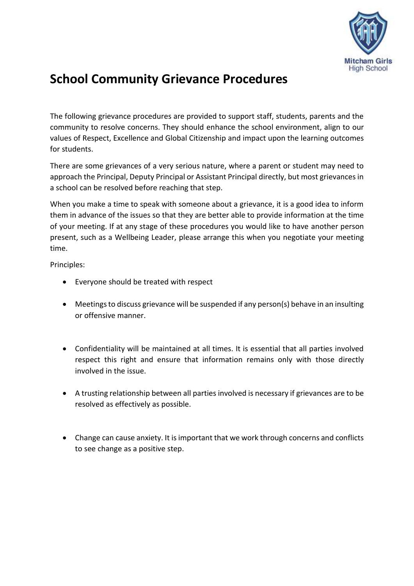

# **School Community Grievance Procedures**

The following grievance procedures are provided to support staff, students, parents and the community to resolve concerns. They should enhance the school environment, align to our values of Respect, Excellence and Global Citizenship and impact upon the learning outcomes for students.

There are some grievances of a very serious nature, where a parent or student may need to approach the Principal, Deputy Principal or Assistant Principal directly, but most grievances in a school can be resolved before reaching that step.

When you make a time to speak with someone about a grievance, it is a good idea to inform them in advance of the issues so that they are better able to provide information at the time of your meeting. If at any stage of these procedures you would like to have another person present, such as a Wellbeing Leader, please arrange this when you negotiate your meeting time.

Principles:

- Everyone should be treated with respect
- Meetings to discuss grievance will be suspended if any person(s) behave in an insulting or offensive manner.
- Confidentiality will be maintained at all times. It is essential that all parties involved respect this right and ensure that information remains only with those directly involved in the issue.
- A trusting relationship between all parties involved is necessary if grievances are to be resolved as effectively as possible.
- Change can cause anxiety. It is important that we work through concerns and conflicts to see change as a positive step.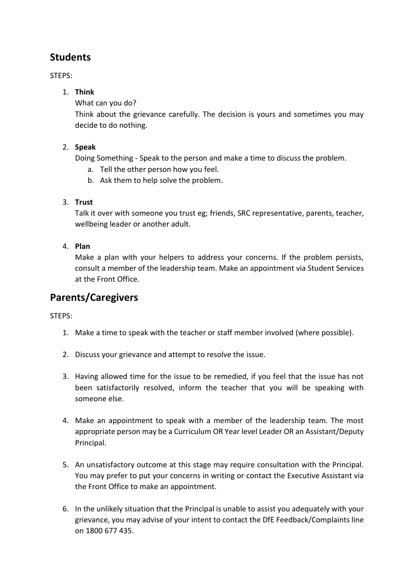### **Students**

STEPS:

#### 1. **Think**

What can you do?

Think about the grievance carefully. The decision is yours and sometimes you may decide to do nothing.

#### 2. **Speak**

Doing Something - Speak to the person and make a time to discuss the problem.

- a. Tell the other person how you feel.
- b. Ask them to help solve the problem.

#### 3. **Trust**

Talk it over with someone you trust eg; friends, SRC representative, parents, teacher, wellbeing leader or another adult.

#### 4. **Plan**

Make a plan with your helpers to address your concerns. If the problem persists, consult a member of the leadership team. Make an appointment via Student Services at the Front Office.

# **Parents/Caregivers**

STEPS:

- 1. Make a time to speak with the teacher or staff member involved (where possible).
- 2. Discuss your grievance and attempt to resolve the issue.
- 3. Having allowed time for the issue to be remedied, if you feel that the issue has not been satisfactorily resolved, inform the teacher that you will be speaking with someone else.
- 4. Make an appointment to speak with a member of the leadership team. The most appropriate person may be a Curriculum OR Year level Leader OR an Assistant/Deputy Principal.
- 5. An unsatisfactory outcome at this stage may require consultation with the Principal. You may prefer to put your concerns in writing or contact the Executive Assistant via the Front Office to make an appointment.
- 6. In the unlikely situation that the Principal is unable to assist you adequately with your grievance, you may advise of your intent to contact the DfE Feedback/Complaints line on 1800 677 435.